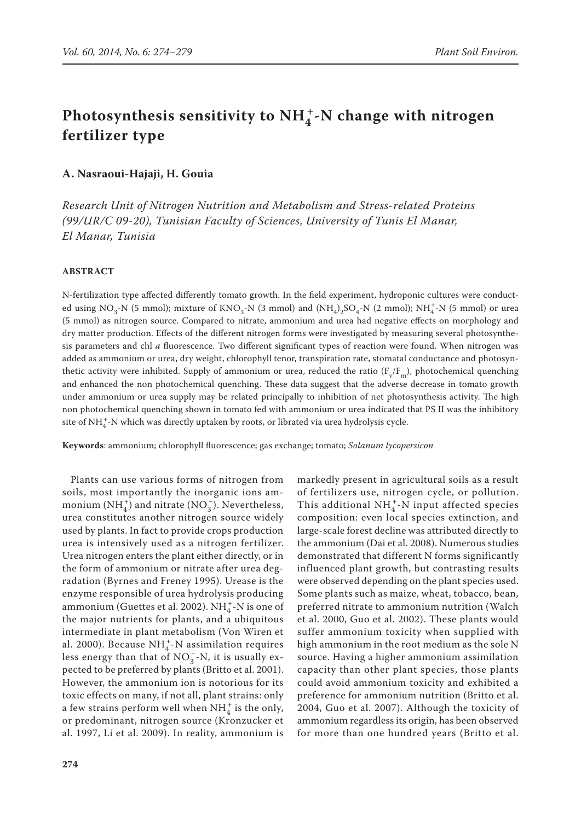# Photosynthesis sensitivity to  $NH_4^+$ -N change with nitrogen **fertilizer type**

## **A. Nasraoui-Hajaji, H. Gouia**

*Research Unit of Nitrogen Nutrition and Metabolism and Stress-related Proteins (99/UR/C 09-20), Tunisian Faculty of Sciences, University of Tunis El Manar, El Manar, Tunisia*

## **ABSTRACT**

N-fertilization type affected differently tomato growth. In the field experiment, hydroponic cultures were conducted using NO<sub>3</sub>-N (5 mmol); mixture of KNO<sub>3</sub>-N (3 mmol) and  $(NH_4)_2SO_4$ -N (2 mmol);  $NH_4^+$ -N (5 mmol) or urea (5 mmol) as nitrogen source. Compared to nitrate, ammonium and urea had negative effects on morphology and dry matter production. Effects of the different nitrogen forms were investigated by measuring several photosynthesis parameters and chl *a* fluorescence. Two different significant types of reaction were found. When nitrogen was added as ammonium or urea, dry weight, chlorophyll tenor, transpiration rate, stomatal conductance and photosynthetic activity were inhibited. Supply of ammonium or urea, reduced the ratio ( $F_v/F_m$ ), photochemical quenching and enhanced the non photochemical quenching. These data suggest that the adverse decrease in tomato growth under ammonium or urea supply may be related principally to inhibition of net photosynthesis activity. The high non photochemical quenching shown in tomato fed with ammonium or urea indicated that PS II was the inhibitory site of NH $_4^+$ -N which was directly uptaken by roots, or librated via urea hydrolysis cycle.

**Keywords**: ammonium; chlorophyll fluorescence; gas exchange; tomato; *Solanum lycopersicon*

Plants can use various forms of nitrogen from soils, most importantly the inorganic ions ammonium (NH<sub>4</sub><sup>+</sup>) and nitrate (NO<sub>3</sub><sup>-</sup>). Nevertheless, urea constitutes another nitrogen source widely used by plants. In fact to provide crops production urea is intensively used as a nitrogen fertilizer. Urea nitrogen enters the plant either directly, or in the form of ammonium or nitrate after urea degradation (Byrnes and Freney 1995). Urease is the enzyme responsible of urea hydrolysis producing ammonium (Guettes et al. 2002). NH $_4^+$ -N is one of the major nutrients for plants, and a ubiquitous intermediate in plant metabolism (Von Wiren et al. 2000). Because  $NH_4^+$ -N assimilation requires less energy than that of  $NO_3^-$ -N, it is usually expected to be preferred by plants (Britto et al. 2001). However, the ammonium ion is notorious for its toxic effects on many, if not all, plant strains: only a few strains perform well when  $NH_4^+$  is the only, or predominant, nitrogen source (Kronzucker et al. 1997, Li et al. 2009). In reality, ammonium is

markedly present in agricultural soils as a result of fertilizers use, nitrogen cycle, or pollution. This additional NH $_4^+$ -N input affected species composition: even local species extinction, and large-scale forest decline was attributed directly to the ammonium (Dai et al. 2008). Numerous studies demonstrated that different N forms significantly influenced plant growth, but contrasting results were observed depending on the plant species used. Some plants such as maize, wheat, tobacco, bean, preferred nitrate to ammonium nutrition (Walch et al. 2000, Guo et al. 2002). These plants would suffer ammonium toxicity when supplied with high ammonium in the root medium as the sole N source. Having a higher ammonium assimilation capacity than other plant species, those plants could avoid ammonium toxicity and exhibited a preference for ammonium nutrition (Britto et al. 2004, Guo et al. 2007). Although the toxicity of ammonium regardless its origin, has been observed for more than one hundred years (Britto et al.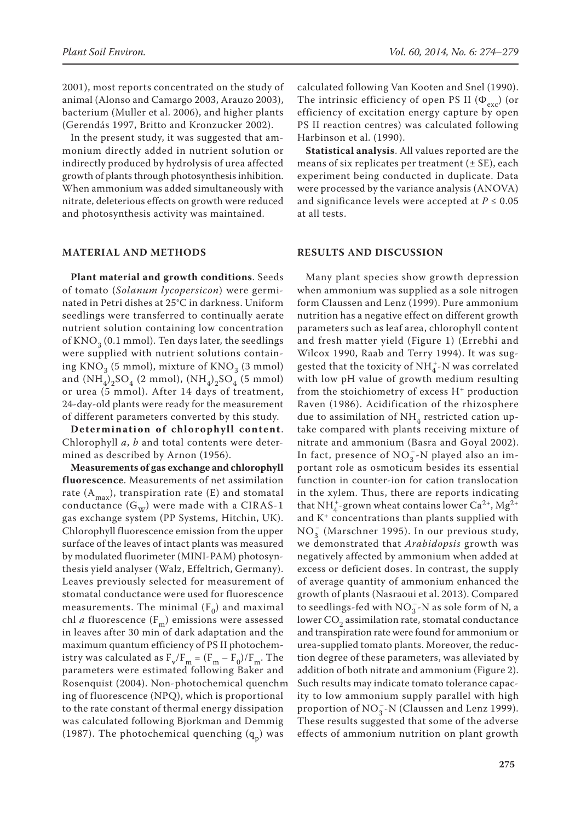2001), most reports concentrated on the study of animal (Alonso and Camargo 2003, Arauzo 2003), bacterium (Muller et al. 2006), and higher plants (Gerendás 1997, Britto and Kronzucker 2002).

In the present study, it was suggested that ammonium directly added in nutrient solution or indirectly produced by hydrolysis of urea affected growth of plants through photosynthesis inhibition. When ammonium was added simultaneously with nitrate, deleterious effects on growth were reduced and photosynthesis activity was maintained.

# **MATERIAL AND METHODS**

**Plant material and growth conditions**. Seeds of tomato (*Solanum lycopersicon*) were germinated in Petri dishes at 25°C in darkness. Uniform seedlings were transferred to continually aerate nutrient solution containing low concentration of  $KNO<sub>2</sub>$  (0.1 mmol). Ten days later, the seedlings were supplied with nutrient solutions containing  $KNO<sub>3</sub>$  (5 mmol), mixture of  $KNO<sub>3</sub>$  (3 mmol) and  $(NH_4)_2SO_4$  (2 mmol),  $(NH_4)_2SO_4$  (5 mmol) or urea (5 mmol). After 14 days of treatment, 24-day-old plants were ready for the measurement of different parameters converted by this study.

**Determination of chlorophyll content**. Chlorophyll *a*, *b* and total contents were determined as described by Arnon (1956).

**Measurements of gas exchange and chlorophyll fluorescence**. Measurements of net assimilation rate  $(A<sub>max</sub>)$ , transpiration rate (E) and stomatal conductance  $(G_w)$  were made with a CIRAS-1 gas exchange system (PP Systems, Hitchin, UK). Chlorophyll fluorescence emission from the upper surface of the leaves of intact plants was measured by modulated fluorimeter (MINI-PAM) photosynthesis yield analyser (Walz, Effeltrich, Germany). Leaves previously selected for measurement of stomatal conductance were used for fluorescence measurements. The minimal  $(F_0)$  and maximal chl *a* fluorescence  $(F_m)$  emissions were assessed in leaves after 30 min of dark adaptation and the maximum quantum efficiency of PS II photochemistry was calculated as  $F_v/F_m = (F_m - F_0)/F_m$ . The parameters were estimated following Baker and Rosenquist (2004). Non-photochemical quench-m ing of fluorescence (NPQ), which is proportional to the rate constant of thermal energy dissipation was calculated following Bjorkman and Demmig (1987). The photochemical quenching  $(q_p)$  was

calculated following Van Kooten and Snel (1990). The intrinsic efficiency of open PS II  $(\Phi_{\text{exc}})$  (or efficiency of excitation energy capture by open PS II reaction centres) was calculated following Harbinson et al. (1990).

**Statistical analysis**. All values reported are the means of six replicates per treatment  $(\pm SE)$ , each experiment being conducted in duplicate. Data were processed by the variance analysis (ANOVA) and significance levels were accepted at  $P \le 0.05$ at all tests.

### **RESULTS AND DISCUSSION**

Many plant species show growth depression when ammonium was supplied as a sole nitrogen form Claussen and Lenz (1999). Pure ammonium nutrition has a negative effect on different growth parameters such as leaf area, chlorophyll content and fresh matter yield (Figure 1) (Errebhi and Wilcox 1990, Raab and Terry 1994). It was suggested that the toxicity of NH $_4^+$ -N was correlated with low pH value of growth medium resulting from the stoichiometry of excess  $H^+$  production Raven (1986). Acidification of the rhizosphere due to assimilation of  $NH<sub>4</sub>$  restricted cation uptake compared with plants receiving mixture of nitrate and ammonium (Basra and Goyal 2002). In fact, presence of  $NO_3^-$ -N played also an important role as osmoticum besides its essential function in counter-ion for cation translocation in the xylem. Thus, there are reports indicating that NH<sup>+</sup><sub>4</sub>-grown wheat contains lower Ca<sup>2+</sup>, Mg<sup>2+</sup> and K+ concentrations than plants supplied with  $NO<sub>3</sub><sup>-</sup>$  (Marschner 1995). In our previous study, we demonstrated that *Arabidopsis* growth was negatively affected by ammonium when added at excess or deficient doses. In contrast, the supply of average quantity of ammonium enhanced the growth of plants (Nasraoui et al. 2013). Compared to seedlings-fed with  $NO_3^-$ -N as sole form of N, a lower  $CO<sub>2</sub>$  assimilation rate, stomatal conductance and transpiration rate were found for ammonium or urea-supplied tomato plants. Moreover, the reduction degree of these parameters, was alleviated by addition of both nitrate and ammonium (Figure 2). Such results may indicate tomato tolerance capacity to low ammonium supply parallel with high proportion of  $NO_3^-$ -N (Claussen and Lenz 1999). These results suggested that some of the adverse effects of ammonium nutrition on plant growth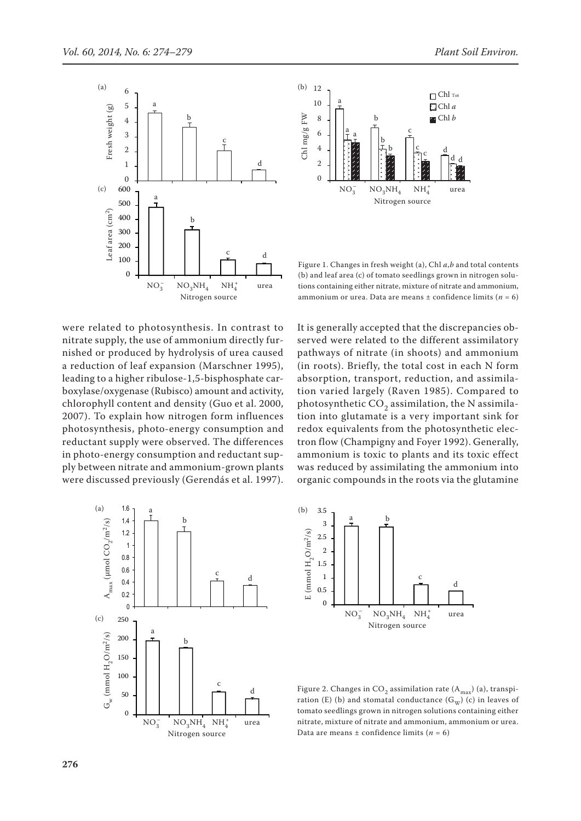



No3<del>nd Andalu and Andalu and Andalu and Andalu and Andalu and Andalu and Andalu and Andalu and Andalu and Anda</del>

Figure 1. Changes in fresh weight (a), Chl *a*,*b* and total contents (b) and leaf area (c) of tomato seedlings grown in nitrogen solutions containing either nitrate, mixture of nitrate and ammonium, ammonium or urea. Data are means  $\pm$  confidence limits ( $n = 6$ )

were related to photosynthesis. In contrast to nitrate supply, the use of ammonium directly furnished or produced by hydrolysis of urea caused a reduction of leaf expansion (Marschner 1995), leading to a higher ribulose-1,5-bisphosphate carboxylase/oxygenase (Rubisco) amount and activity, chlorophyll content and density (Guo et al. 2000, 2007). To explain how nitrogen form influences photosynthesis, photo-energy consumption and reductant supply were observed. The differences in photo-energy consumption and reductant supply between nitrate and ammonium-grown plants were discussed previously (Gerendás et al. 1997).







d Figure 2. Changes in CO<sub>2</sub> assimilation rate  $(A<sub>max</sub>)$  (a), transpiration (E) (b) and stomatal conductance  $(G_w)$  (c) in leaves of tomato seedlings grown in nitrogen solutions containing either nitrate, mixture of nitrate and ammonium, ammonium or urea. Data are means  $\pm$  confidence limits ( $n = 6$ )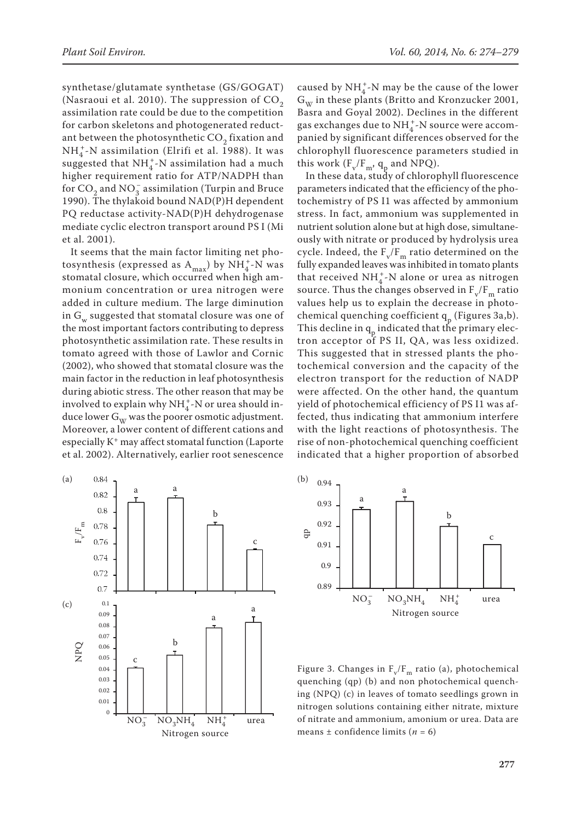synthetase/glutamate synthetase (GS/GOGAT) (Nasraoui et al. 2010). The suppression of  $CO<sub>2</sub>$ assimilation rate could be due to the competition for carbon skeletons and photogenerated reductant between the photosynthetic  $CO<sub>2</sub>$  fixation and  $NH_4^+$ -N assimilation (Elrifi et al. 1988). It was suggested that  $NH_4^+$ -N assimilation had a much higher requirement ratio for ATP/NADPH than for  $CO_2$  and  $NO_3^-$  assimilation (Turpin and Bruce 1990). The thylakoid bound NAD(P)H dependent PQ reductase activity-NAD(P)H dehydrogenase mediate cyclic electron transport around PS I (Mi et al. 2001).

It seems that the main factor limiting net photosynthesis (expressed as  $A_{max}$ ) by  $NH_4^+$ -N was stomatal closure, which occurred when high ammonium concentration or urea nitrogen were added in culture medium. The large diminution in G<sub>w</sub> suggested that stomatal closure was one of the most important factors contributing to depress photosynthetic assimilation rate. These results in tomato agreed with those of Lawlor and Cornic (2002), who showed that stomatal closure was the main factor in the reduction in leaf photosynthesis during abiotic stress. The other reason that may be involved to explain why  $NH_4^+$ -N or urea should induce lower  $G_w$  was the poorer osmotic adjustment. Moreover, a lower content of different cations and especially K+ may affect stomatal function (Laporte et al. 2002). Alternatively, earlier root senescence



caused by  $NH_4^+$ -N may be the cause of the lower  $G_{\scriptscriptstyle{\text{W}}}$  in these plants (Britto and Kronzucker 2001, Basra and Goyal 2002). Declines in the different gas exchanges due to NH<sup>+</sup>-N source were accompanied by significant differences observed for the chlorophyll fluorescence parameters studied in this work  $(F_v/F_m, q_p$  and NPQ).

In these data, study of chlorophyll fluorescence parameters indicated that the efficiency of the photochemistry of PS I1 was affected by ammonium stress. In fact, ammonium was supplemented in nutrient solution alone but at high dose, simultaneously with nitrate or produced by hydrolysis urea cycle. Indeed, the  $F_v/F_m$  ratio determined on the fully expanded leaves was inhibited in tomato plants that received  $NH_4^+$ -N alone or urea as nitrogen source. Thus the changes observed in  $F_v/F_m$  ratio values help us to explain the decrease in photochemical quenching coefficient  $q_p$  (Figures 3a,b). This decline in  $q_{\rm p}$  indicated that the primary electron acceptor of PS II, QA, was less oxidized. This suggested that in stressed plants the photochemical conversion and the capacity of the electron transport for the reduction of NADP were affected. On the other hand, the quantum yield of photochemical efficiency of PS I1 was affected, thus indicating that ammonium interfere with the light reactions of photosynthesis. The rise of non-photochemical quenching coefficient indicated that a higher proportion of absorbed



Figure 3. Changes in  $F_v/F_m$  ratio (a), photochemical quenching (qp) (b) and non photochemical quenching (NPQ) (c) in leaves of tomato seedlings grown in nitrogen solutions containing either nitrate, mixture of nitrate and ammonium, amonium or urea. Data are means  $\pm$  confidence limits ( $n = 6$ )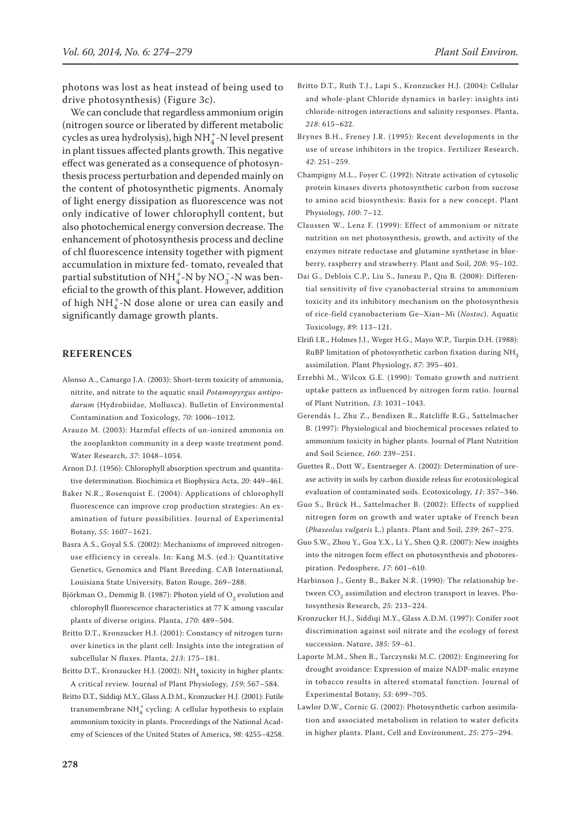photons was lost as heat instead of being used to drive photosynthesis) (Figure 3c).

We can conclude that regardless ammonium origin (nitrogen source or liberated by different metabolic cycles as urea hydrolysis), high  $NH_4^+$ -N level present in plant tissues affected plants growth. This negative effect was generated as a consequence of photosynthesis process perturbation and depended mainly on the content of photosynthetic pigments. Anomaly of light energy dissipation as fluorescence was not only indicative of lower chlorophyll content, but also photochemical energy conversion decrease. The enhancement of photosynthesis process and decline of chl fluorescence intensity together with pigment accumulation in mixture fed- tomato, revealed that partial substitution of  $NH_4^+$ -N by  $NO_3^-$ -N was beneficial to the growth of this plant. However, addition of high  $\mathrm{NH}_4^+$ -N dose alone or urea can easily and significantly damage growth plants.

## **REFERENCES**

- Alonso A., Camargo J.A. (2003): Short-term toxicity of ammonia, nitrite, and nitrate to the aquatic snail *Potamopyrgus antipodarum* (Hydrobiidae, Mollusca). Bulletin of Environmental Contamination and Toxicology, *70*: 1006–1012.
- Arauzo M. (2003): Harmful effects of un-ionized ammonia on the zooplankton community in a deep waste treatment pond. Water Research, *37*: 1048–1054.
- Arnon D.J. (1956): Chlorophyll absorption spectrum and quantitative determination. Biochimica et Biophysica Acta, *20*: 449–461.
- Baker N.R., Rosenquist E. (2004): Applications of chlorophyll fluorescence can improve crop production strategies: An examination of future possibilities. Journal of Experimental Botany, *55*: 1607–1621.
- Basra A.S., Goyal S.S. (2002): Mechanisms of improved nitrogenuse efficiency in cereals. In: Kang M.S. (ed.): Quantitative Genetics, Genomics and Plant Breeding. CAB International, Louisiana State University, Baton Rouge, 269–288.
- Björkman O., Demmig B. (1987): Photon yield of O<sub>2</sub> evolution and chlorophyll fluorescence characteristics at 77 K among vascular plants of diverse origins. Planta, *170*: 489–504.
- Britto D.T., Kronzucker H.J. (2001): Constancy of nitrogen turn: over kinetics in the plant cell: Insights into the integration of subcellular N fluxes. Planta, *213*: 175–181.
- Britto D.T., Kronzucker H.J. (2002):  $NH<sub>4</sub>$  toxicity in higher plants: A critical review. Journal of Plant Physiology, *159*: 567–584.
- Britto D.T., Siddiqi M.Y., Glass A.D.M., Kronzucker H.J. (2001): Futile transmembrane $\mathrm{NH}_4^+$  cycling: A cellular hypothesis to explain ammonium toxicity in plants. Proceedings of the National Academy of Sciences of the United States of America, *98*: 4255–4258.
- Britto D.T., Ruth T.J., Lapi S., Kronzucker H.J. (2004): Cellular and whole-plant Chloride dynamics in barley: insights inti chloride-nitrogen interactions and salinity responses. Planta, *218*: 615–622.
- Brynes B.H., Freney J.R. (1995): Recent developments in the use of urease inhibitors in the tropics. Fertilizer Research, *42*: 251–259.
- Champigny M.L., Foyer C. (1992): Nitrate activation of cytosolic protein kinases diverts photosynthetic carbon from sucrose to amino acid biosynthesis: Basis for a new concept. Plant Physiology, *100*: 7–12.
- Claussen W., Lenz F. (1999): Effect of ammonium or nitrate nutrition on net photosynthesis, growth, and activity of the enzymes nitrate reductase and glutamine synthetase in blueberry, raspberry and strawberry. Plant and Soil, *208*: 95–102.
- Dai G., Deblois C.P., Liu S., Juneau P., Qiu B. (2008): Differential sensitivity of five cyanobacterial strains to ammonium toxicity and its inhibitory mechanism on the photosynthesis of rice-field cyanobacterium Ge–Xian–Mi (*Nostoc*). Aquatic Toxicology, *89*: 113–121.
- Elrifi I.R., Holmes J.J., Weger H.G., Mayo W.P., Turpin D.H. (1988): RuBP limitation of photosynthetic carbon fixation during NH<sub>3</sub> assimilation. Plant Physiology, *87*: 395–401.
- Errebhi M., Wilcox G.E. (1990): Tomato growth and nutrient uptake pattern as influenced by nitrogen form ratio. Journal of Plant Nutrition, *13*: 1031–1043.
- Gerendás J., Zhu Z., Bendixen R., Ratcliffe R.G., Sattelmacher B. (1997): Physiological and biochemical processes related to ammonium toxicity in higher plants. Journal of Plant Nutrition and Soil Science, *160*: 239–251.
- Guettes R., Dott W., Esentraeger A. (2002): Determination of urease activity in soils by carbon dioxide releas for ecotoxicological evaluation of contaminated soils. Ecotoxicology, *11*: 357–346.
- Guo S., Brück H., Sattelmacher B. (2002): Effects of supplied nitrogen form on growth and water uptake of French bean (*Phaseolus vulgaris* L.) plants. Plant and Soil, *239*: 267–275.
- Guo S.W., Zhou Y., Goa Y.X., Li Y., Shen Q.R. (2007): New insights into the nitrogen form effect on photosynthesis and photorespiration. Pedosphere, *17*: 601–610.
- Harbinson J., Genty B., Baker N.R. (1990): The relationship between CO<sub>2</sub> assimilation and electron transport in leaves. Photosynthesis Research, *25*: 213–224.
- Kronzucker H.J., Siddiqi M.Y., Glass A.D.M. (1997): Conifer root discrimination against soil nitrate and the ecology of forest succession. Nature, *385*: 59–61.
- Laporte M.M., Shen B., Tarczynski M.C. (2002): Engineering for drought avoidance: Expression of maize NADP-malic enzyme in tobacco results in altered stomatal function. Journal of Experimental Botany, *53*: 699–705.
- Lawlor D.W., Cornic G. (2002): Photosynthetic carbon assimilation and associated metabolism in relation to water deficits in higher plants. Plant, Cell and Environment, *25*: 275–294.